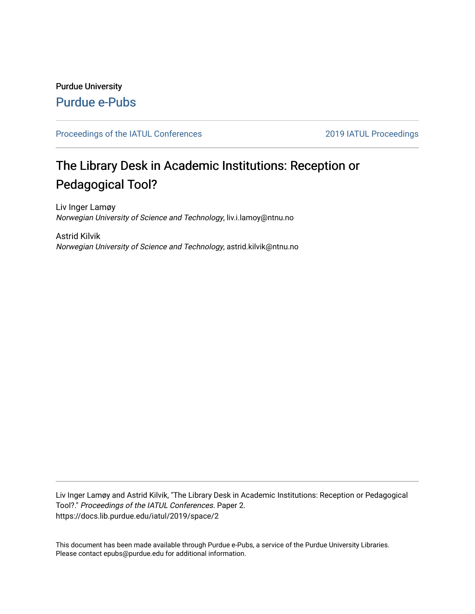## Purdue University [Purdue e-Pubs](https://docs.lib.purdue.edu/)

#### [Proceedings of the IATUL Conferences](https://docs.lib.purdue.edu/iatul) 2019 2019 IATUL Proceedings

# The Library Desk in Academic Institutions: Reception or Pedagogical Tool?

Liv Inger Lamøy Norwegian University of Science and Technology, liv.i.lamoy@ntnu.no

Astrid Kilvik Norwegian University of Science and Technology, astrid.kilvik@ntnu.no

Liv Inger Lamøy and Astrid Kilvik, "The Library Desk in Academic Institutions: Reception or Pedagogical Tool?." Proceedings of the IATUL Conferences. Paper 2. https://docs.lib.purdue.edu/iatul/2019/space/2

This document has been made available through Purdue e-Pubs, a service of the Purdue University Libraries. Please contact epubs@purdue.edu for additional information.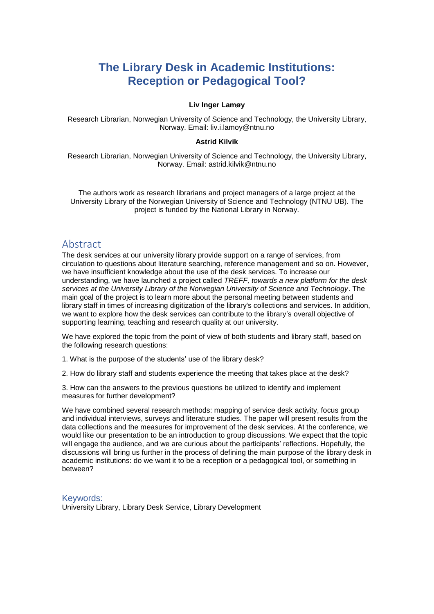## **The Library Desk in Academic Institutions: Reception or Pedagogical Tool?**

#### **Liv Inger Lamøy**

Research Librarian, Norwegian University of Science and Technology, the University Library, Norway. Email: liv.i.lamoy@ntnu.no

#### **Astrid Kilvik**

Research Librarian, Norwegian University of Science and Technology, the University Library, Norway. Email: astrid.kilvik@ntnu.no

The authors work as research librarians and project managers of a large project at the University Library of the Norwegian University of Science and Technology (NTNU UB). The project is funded by the National Library in Norway.

### Abstract

The desk services at our university library provide support on a range of services, from circulation to questions about literature searching, reference management and so on. However, we have insufficient knowledge about the use of the desk services. To increase our understanding, we have launched a project called *TREFF, towards a new platform for the desk services at the University Library of the Norwegian University of Science and Technology*. The main goal of the project is to learn more about the personal meeting between students and library staff in times of increasing digitization of the library's collections and services. In addition, we want to explore how the desk services can contribute to the library's overall objective of supporting learning, teaching and research quality at our university.

We have explored the topic from the point of view of both students and library staff, based on the following research questions:

1. What is the purpose of the students' use of the library desk?

2. How do library staff and students experience the meeting that takes place at the desk?

3. How can the answers to the previous questions be utilized to identify and implement measures for further development?

We have combined several research methods: mapping of service desk activity, focus group and individual interviews, surveys and literature studies. The paper will present results from the data collections and the measures for improvement of the desk services. At the conference, we would like our presentation to be an introduction to group discussions. We expect that the topic will engage the audience, and we are curious about the participants' reflections. Hopefully, the discussions will bring us further in the process of defining the main purpose of the library desk in academic institutions: do we want it to be a reception or a pedagogical tool, or something in between?

#### Keywords:

University Library, Library Desk Service, Library Development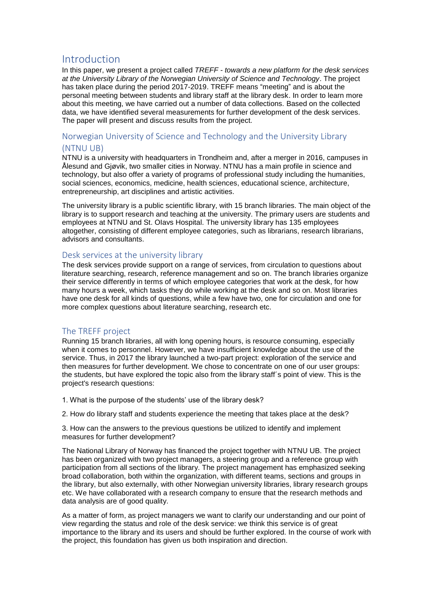## Introduction

In this paper, we present a project called *TREFF - towards a new platform for the desk services at the University Library of the Norwegian University of Science and Technology*. The project has taken place during the period 2017-2019. TREFF means "meeting" and is about the personal meeting between students and library staff at the library desk. In order to learn more about this meeting, we have carried out a number of data collections. Based on the collected data, we have identified several measurements for further development of the desk services. The paper will present and discuss results from the project.

#### Norwegian University of Science and Technology and the University Library (NTNU UB)

NTNU is a university with headquarters in Trondheim and, after a merger in 2016, campuses in Ålesund and Gjøvik, two smaller cities in Norway. NTNU has a main profile in science and technology, but also offer a variety of programs of professional study including the humanities, social sciences, economics, medicine, health sciences, educational science, architecture, entrepreneurship, art disciplines and artistic activities.

The university library is a public scientific library, with 15 branch libraries. The main object of the library is to support research and teaching at the university. The primary users are students and employees at NTNU and St. OIavs Hospital. The university library has 135 employees altogether, consisting of different employee categories, such as librarians, research librarians, advisors and consultants.

#### Desk services at the university library

The desk services provide support on a range of services, from circulation to questions about literature searching, research, reference management and so on. The branch libraries organize their service differently in terms of which employee categories that work at the desk, for how many hours a week, which tasks they do while working at the desk and so on. Most libraries have one desk for all kinds of questions, while a few have two, one for circulation and one for more complex questions about literature searching, research etc.

#### The TREFF project

Running 15 branch libraries, all with long opening hours, is resource consuming, especially when it comes to personnel. However, we have insufficient knowledge about the use of the service. Thus, in 2017 the library launched a two-part project: exploration of the service and then measures for further development. We chose to concentrate on one of our user groups: the students, but have explored the topic also from the library staff´s point of view. This is the project's research questions:

1. What is the purpose of the students' use of the library desk?

2. How do library staff and students experience the meeting that takes place at the desk?

3. How can the answers to the previous questions be utilized to identify and implement measures for further development?

The National Library of Norway has financed the project together with NTNU UB. The project has been organized with two project managers, a steering group and a reference group with participation from all sections of the library. The project management has emphasized seeking broad collaboration, both within the organization, with different teams, sections and groups in the library, but also externally, with other Norwegian university libraries, library research groups etc. We have collaborated with a research company to ensure that the research methods and data analysis are of good quality.

As a matter of form, as project managers we want to clarify our understanding and our point of view regarding the status and role of the desk service: we think this service is of great importance to the library and its users and should be further explored. In the course of work with the project, this foundation has given us both inspiration and direction.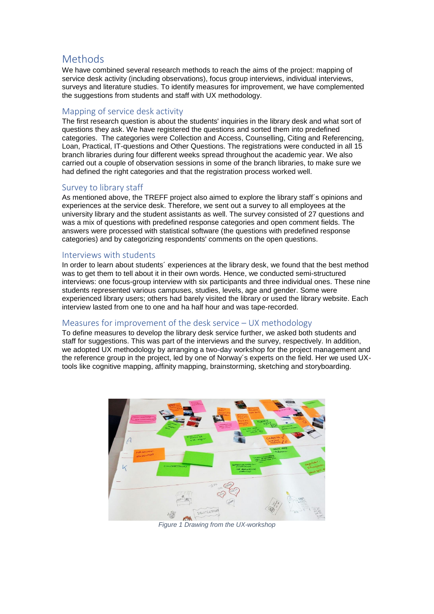## Methods

We have combined several research methods to reach the aims of the project: mapping of service desk activity (including observations), focus group interviews, individual interviews, surveys and literature studies. To identify measures for improvement, we have complemented the suggestions from students and staff with UX methodology.

#### Mapping of service desk activity

The first research question is about the students' inquiries in the library desk and what sort of questions they ask. We have registered the questions and sorted them into predefined categories. The categories were Collection and Access, Counselling, Citing and Referencing, Loan, Practical, IT-questions and Other Questions. The registrations were conducted in all 15 branch libraries during four different weeks spread throughout the academic year. We also carried out a couple of observation sessions in some of the branch libraries, to make sure we had defined the right categories and that the registration process worked well.

#### Survey to library staff

As mentioned above, the TREFF project also aimed to explore the library staff´s opinions and experiences at the service desk. Therefore, we sent out a survey to all employees at the university library and the student assistants as well. The survey consisted of 27 questions and was a mix of questions with predefined response categories and open comment fields. The answers were processed with statistical software (the questions with predefined response categories) and by categorizing respondents' comments on the open questions.

#### Interviews with students

In order to learn about students´ experiences at the library desk, we found that the best method was to get them to tell about it in their own words. Hence, we conducted semi-structured interviews: one focus-group interview with six participants and three individual ones. These nine students represented various campuses, studies, levels, age and gender. Some were experienced library users; others had barely visited the library or used the library website. Each interview lasted from one to one and ha half hour and was tape-recorded.

#### Measures for improvement of the desk service – UX methodology

To define measures to develop the library desk service further, we asked both students and staff for suggestions. This was part of the interviews and the survey, respectively. In addition, we adopted UX methodology by arranging a two-day workshop for the project management and the reference group in the project, led by one of Norway´s experts on the field. Her we used UXtools like cognitive mapping, affinity mapping, brainstorming, sketching and storyboarding.



*Figure 1 Drawing from the UX-workshop*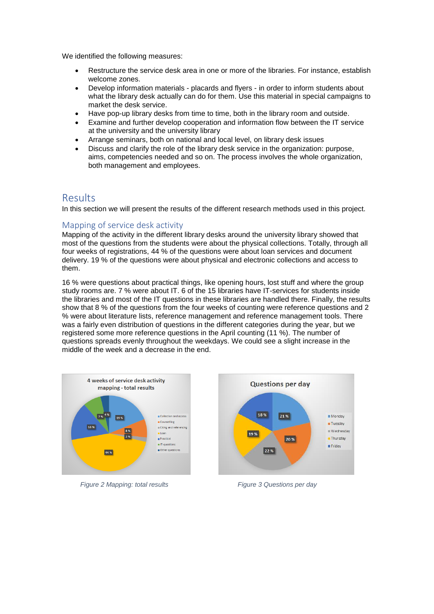We identified the following measures:

- Restructure the service desk area in one or more of the libraries. For instance, establish welcome zones.
- Develop information materials placards and flyers in order to inform students about what the library desk actually can do for them. Use this material in special campaigns to market the desk service.
- Have pop-up library desks from time to time, both in the library room and outside.
- Examine and further develop cooperation and information flow between the IT service at the university and the university library
- Arrange seminars, both on national and local level, on library desk issues
- Discuss and clarify the role of the library desk service in the organization: purpose, aims, competencies needed and so on. The process involves the whole organization, both management and employees.

## Results

In this section we will present the results of the different research methods used in this project.

#### Mapping of service desk activity

Mapping of the activity in the different library desks around the university library showed that most of the questions from the students were about the physical collections. Totally, through all four weeks of registrations, 44 % of the questions were about loan services and document delivery. 19 % of the questions were about physical and electronic collections and access to them.

16 % were questions about practical things, like opening hours, lost stuff and where the group study rooms are. 7 % were about IT. 6 of the 15 libraries have IT-services for students inside the libraries and most of the IT questions in these libraries are handled there. Finally, the results show that 8 % of the questions from the four weeks of counting were reference questions and 2 % were about literature lists, reference management and reference management tools. There was a fairly even distribution of questions in the different categories during the year, but we registered some more reference questions in the April counting (11 %). The number of questions spreads evenly throughout the weekdays. We could see a slight increase in the middle of the week and a decrease in the end.



 *Figure 2 Mapping: total results Figure 3 Questions per day*

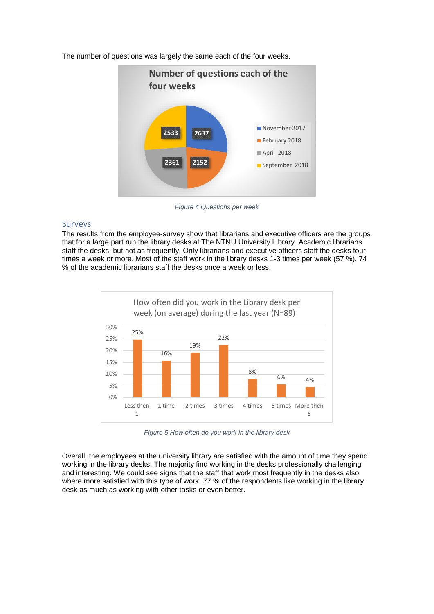

The number of questions was largely the same each of the four weeks.

*Figure 4 Questions per week*

#### Surveys

The results from the employee-survey show that librarians and executive officers are the groups that for a large part run the library desks at The NTNU University Library. Academic librarians staff the desks, but not as frequently. Only librarians and executive officers staff the desks four times a week or more. Most of the staff work in the library desks 1-3 times per week (57 %). 74 % of the academic librarians staff the desks once a week or less.



*Figure 5 How often do you work in the library desk*

Overall, the employees at the university library are satisfied with the amount of time they spend working in the library desks. The majority find working in the desks professionally challenging and interesting. We could see signs that the staff that work most frequently in the desks also where more satisfied with this type of work. 77 % of the respondents like working in the library desk as much as working with other tasks or even better.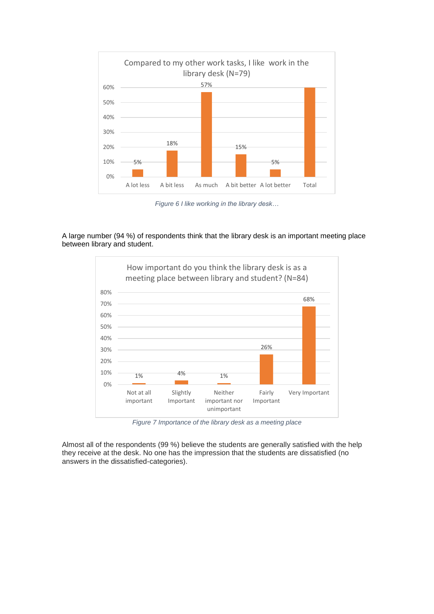

*Figure 6 I like working in the library desk…* 

A large number (94 %) of respondents think that the library desk is an important meeting place between library and student.



*Figure 7 Importance of the library desk as a meeting place*

Almost all of the respondents (99 %) believe the students are generally satisfied with the help they receive at the desk. No one has the impression that the students are dissatisfied (no answers in the dissatisfied-categories).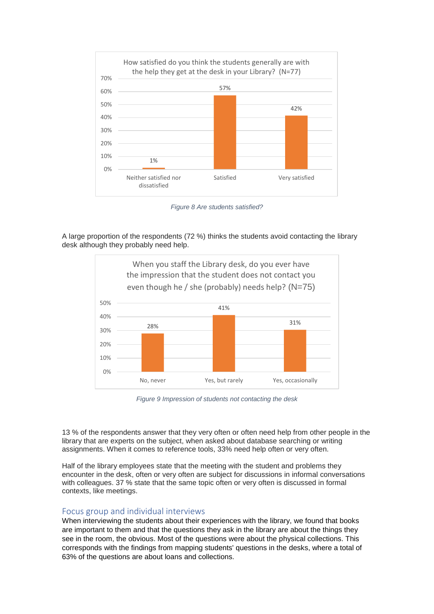

*Figure 8 Are students satisfied?*

A large proportion of the respondents (72 %) thinks the students avoid contacting the library desk although they probably need help.



*Figure 9 Impression of students not contacting the desk*

13 % of the respondents answer that they very often or often need help from other people in the library that are experts on the subject, when asked about database searching or writing assignments. When it comes to reference tools, 33% need help often or very often.

Half of the library employees state that the meeting with the student and problems they encounter in the desk, often or very often are subject for discussions in informal conversations with colleagues. 37 % state that the same topic often or very often is discussed in formal contexts, like meetings.

#### Focus group and individual interviews

When interviewing the students about their experiences with the library, we found that books are important to them and that the questions they ask in the library are about the things they see in the room, the obvious. Most of the questions were about the physical collections. This corresponds with the findings from mapping students' questions in the desks, where a total of 63% of the questions are about loans and collections.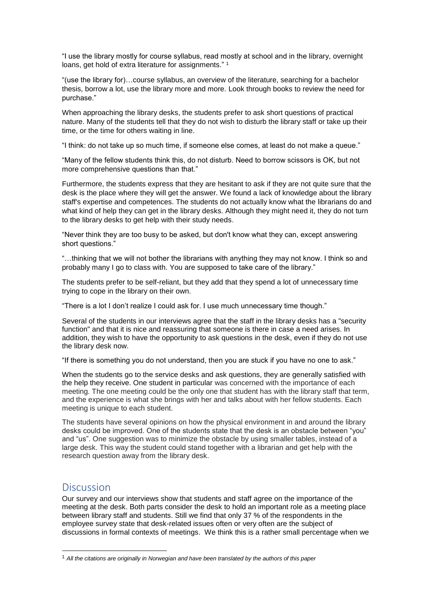"I use the library mostly for course syllabus, read mostly at school and in the library, overnight loans, get hold of extra literature for assignments."<sup>1</sup>

"(use the library for)…course syllabus, an overview of the literature, searching for a bachelor thesis, borrow a lot, use the library more and more. Look through books to review the need for purchase."

When approaching the library desks, the students prefer to ask short questions of practical nature. Many of the students tell that they do not wish to disturb the library staff or take up their time, or the time for others waiting in line.

"I think: do not take up so much time, if someone else comes, at least do not make a queue."

"Many of the fellow students think this, do not disturb. Need to borrow scissors is OK, but not more comprehensive questions than that."

Furthermore, the students express that they are hesitant to ask if they are not quite sure that the desk is the place where they will get the answer. We found a lack of knowledge about the library staff's expertise and competences. The students do not actually know what the librarians do and what kind of help they can get in the library desks. Although they might need it, they do not turn to the library desks to get help with their study needs.

"Never think they are too busy to be asked, but don't know what they can, except answering short questions."

"…thinking that we will not bother the librarians with anything they may not know. I think so and probably many I go to class with. You are supposed to take care of the library."

The students prefer to be self-reliant, but they add that they spend a lot of unnecessary time trying to cope in the library on their own.

"There is a lot I don't realize I could ask for. I use much unnecessary time though."

Several of the students in our interviews agree that the staff in the library desks has a "security function" and that it is nice and reassuring that someone is there in case a need arises. In addition, they wish to have the opportunity to ask questions in the desk, even if they do not use the library desk now.

"If there is something you do not understand, then you are stuck if you have no one to ask."

When the students go to the service desks and ask questions, they are generally satisfied with the help they receive. One student in particular was concerned with the importance of each meeting. The one meeting could be the only one that student has with the library staff that term, and the experience is what she brings with her and talks about with her fellow students. Each meeting is unique to each student.

The students have several opinions on how the physical environment in and around the library desks could be improved. One of the students state that the desk is an obstacle between "you" and "us". One suggestion was to minimize the obstacle by using smaller tables, instead of a large desk. This way the student could stand together with a librarian and get help with the research question away from the library desk.

## **Discussion**

-

Our survey and our interviews show that students and staff agree on the importance of the meeting at the desk. Both parts consider the desk to hold an important role as a meeting place between library staff and students. Still we find that only 37 % of the respondents in the employee survey state that desk-related issues often or very often are the subject of discussions in formal contexts of meetings. We think this is a rather small percentage when we

<sup>1</sup> *All the citations are originally in Norwegian and have been translated by the authors of this paper*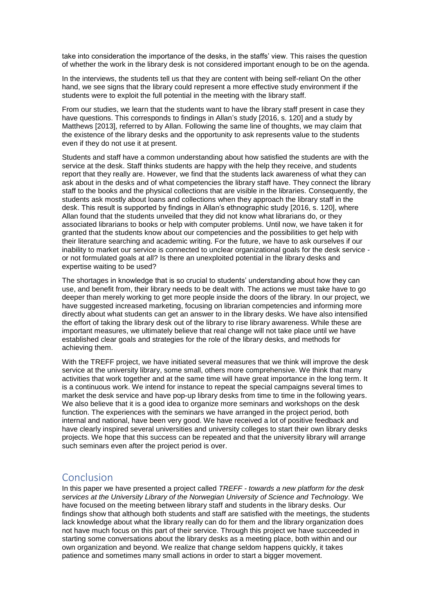take into consideration the importance of the desks, in the staffs' view. This raises the question of whether the work in the library desk is not considered important enough to be on the agenda.

In the interviews, the students tell us that they are content with being self-reliant On the other hand, we see signs that the library could represent a more effective study environment if the students were to exploit the full potential in the meeting with the library staff.

From our studies, we learn that the students want to have the library staff present in case they have questions. This corresponds to findings in Allan's study [2016, s. 120] and a study by Matthews [2013], referred to by Allan. Following the same line of thoughts, we may claim that the existence of the library desks and the opportunity to ask represents value to the students even if they do not use it at present.

Students and staff have a common understanding about how satisfied the students are with the service at the desk. Staff thinks students are happy with the help they receive, and students report that they really are. However, we find that the students lack awareness of what they can ask about in the desks and of what competencies the library staff have. They connect the library staff to the books and the physical collections that are visible in the libraries. Consequently, the students ask mostly about loans and collections when they approach the library staff in the desk. This result is supported by findings in Allan's ethnographic study [2016, s. 120], where Allan found that the students unveiled that they did not know what librarians do, or they associated librarians to books or help with computer problems. Until now, we have taken it for granted that the students know about our competencies and the possibilities to get help with their literature searching and academic writing. For the future, we have to ask ourselves if our inability to market our service is connected to unclear organizational goals for the desk service or not formulated goals at all? Is there an unexploited potential in the library desks and expertise waiting to be used?

The shortages in knowledge that is so crucial to students' understanding about how they can use, and benefit from, their library needs to be dealt with. The actions we must take have to go deeper than merely working to get more people inside the doors of the library. In our project, we have suggested increased marketing, focusing on librarian competencies and informing more directly about what students can get an answer to in the library desks. We have also intensified the effort of taking the library desk out of the library to rise library awareness. While these are important measures, we ultimately believe that real change will not take place until we have established clear goals and strategies for the role of the library desks, and methods for achieving them.

With the TREFF project, we have initiated several measures that we think will improve the desk service at the university library, some small, others more comprehensive. We think that many activities that work together and at the same time will have great importance in the long term. It is a continuous work. We intend for instance to repeat the special campaigns several times to market the desk service and have pop-up library desks from time to time in the following years. We also believe that it is a good idea to organize more seminars and workshops on the desk function. The experiences with the seminars we have arranged in the project period, both internal and national, have been very good. We have received a lot of positive feedback and have clearly inspired several universities and university colleges to start their own library desks projects. We hope that this success can be repeated and that the university library will arrange such seminars even after the project period is over.

## Conclusion

In this paper we have presented a project called *TREFF - towards a new platform for the desk services at the University Library of the Norwegian University of Science and Technology.* We have focused on the meeting between library staff and students in the library desks. Our findings show that although both students and staff are satisfied with the meetings, the students lack knowledge about what the library really can do for them and the library organization does not have much focus on this part of their service. Through this project we have succeeded in starting some conversations about the library desks as a meeting place, both within and our own organization and beyond. We realize that change seldom happens quickly, it takes patience and sometimes many small actions in order to start a bigger movement.